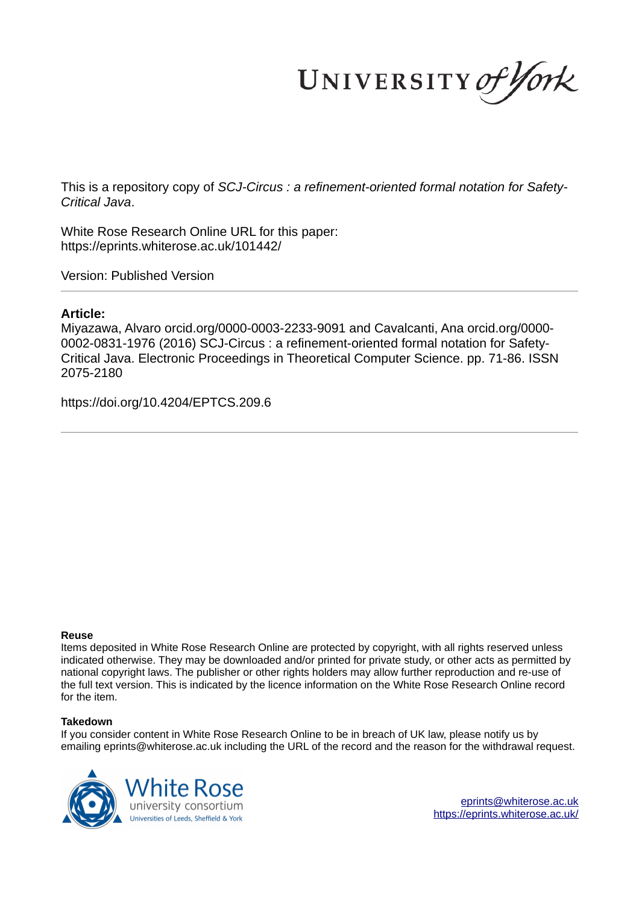UNIVERSITY of York

This is a repository copy of *SCJ-Circus : a refinement-oriented formal notation for Safety-Critical Java*.

White Rose Research Online URL for this paper: https://eprints.whiterose.ac.uk/101442/

Version: Published Version

### **Article:**

Miyazawa, Alvaro orcid.org/0000-0003-2233-9091 and Cavalcanti, Ana orcid.org/0000- 0002-0831-1976 (2016) SCJ-Circus : a refinement-oriented formal notation for Safety-Critical Java. Electronic Proceedings in Theoretical Computer Science. pp. 71-86. ISSN 2075-2180

https://doi.org/10.4204/EPTCS.209.6

#### **Reuse**

Items deposited in White Rose Research Online are protected by copyright, with all rights reserved unless indicated otherwise. They may be downloaded and/or printed for private study, or other acts as permitted by national copyright laws. The publisher or other rights holders may allow further reproduction and re-use of the full text version. This is indicated by the licence information on the White Rose Research Online record for the item.

#### **Takedown**

If you consider content in White Rose Research Online to be in breach of UK law, please notify us by emailing eprints@whiterose.ac.uk including the URL of the record and the reason for the withdrawal request.



eprints@whiterose.ac.uk https://eprints.whiterose.ac.uk/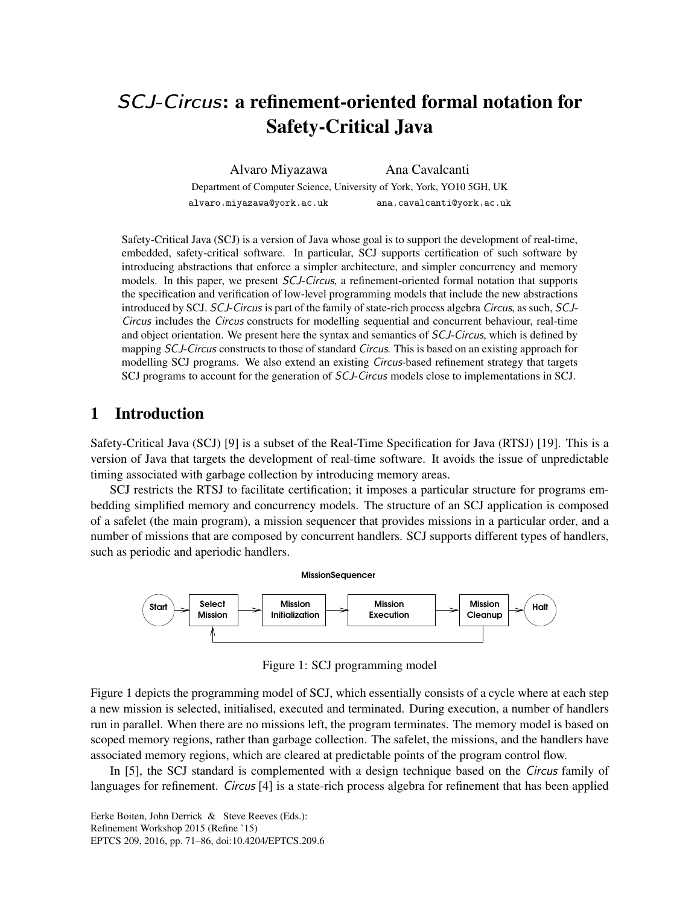# SCJ-Circus: a refinement-oriented formal notation for Safety-Critical Java

Alvaro Miyazawa Ana Cavalcanti Department of Computer Science, University of York, York, YO10 5GH, UK alvaro.miyazawa@york.ac.uk ana.cavalcanti@york.ac.uk

Safety-Critical Java (SCJ) is a version of Java whose goal is to support the development of real-time, embedded, safety-critical software. In particular, SCJ supports certification of such software by introducing abstractions that enforce a simpler architecture, and simpler concurrency and memory models. In this paper, we present SCJ-Circus, a refinement-oriented formal notation that supports the specification and verification of low-level programming models that include the new abstractions introduced by SCJ. SCJ-Circus is part of the family of state-rich process algebra Circus, as such, SCJ-Circus includes the Circus constructs for modelling sequential and concurrent behaviour, real-time and object orientation. We present here the syntax and semantics of SCJ-Circus, which is defined by mapping *SCJ-Circus* constructs to those of standard *Circus*. This is based on an existing approach for modelling SCJ programs. We also extend an existing Circus-based refinement strategy that targets SCJ programs to account for the generation of SCJ-Circus models close to implementations in SCJ.

# 1 Introduction

Safety-Critical Java (SCJ) [9] is a subset of the Real-Time Specification for Java (RTSJ) [19]. This is a version of Java that targets the development of real-time software. It avoids the issue of unpredictable timing associated with garbage collection by introducing memory areas.

SCJ restricts the RTSJ to facilitate certification; it imposes a particular structure for programs embedding simplified memory and concurrency models. The structure of an SCJ application is composed of a safelet (the main program), a mission sequencer that provides missions in a particular order, and a number of missions that are composed by concurrent handlers. SCJ supports different types of handlers, such as periodic and aperiodic handlers.



Figure 1: SCJ programming model

Figure 1 depicts the programming model of SCJ, which essentially consists of a cycle where at each step a new mission is selected, initialised, executed and terminated. During execution, a number of handlers run in parallel. When there are no missions left, the program terminates. The memory model is based on scoped memory regions, rather than garbage collection. The safelet, the missions, and the handlers have associated memory regions, which are cleared at predictable points of the program control flow.

In [5], the SCJ standard is complemented with a design technique based on the Circus family of languages for refinement. *Circus* [4] is a state-rich process algebra for refinement that has been applied

Eerke Boiten, John Derrick & Steve Reeves (Eds.): Refinement Workshop 2015 (Refine '15) EPTCS 209, 2016, pp. 71–86, doi:10.4204/EPTCS.209.6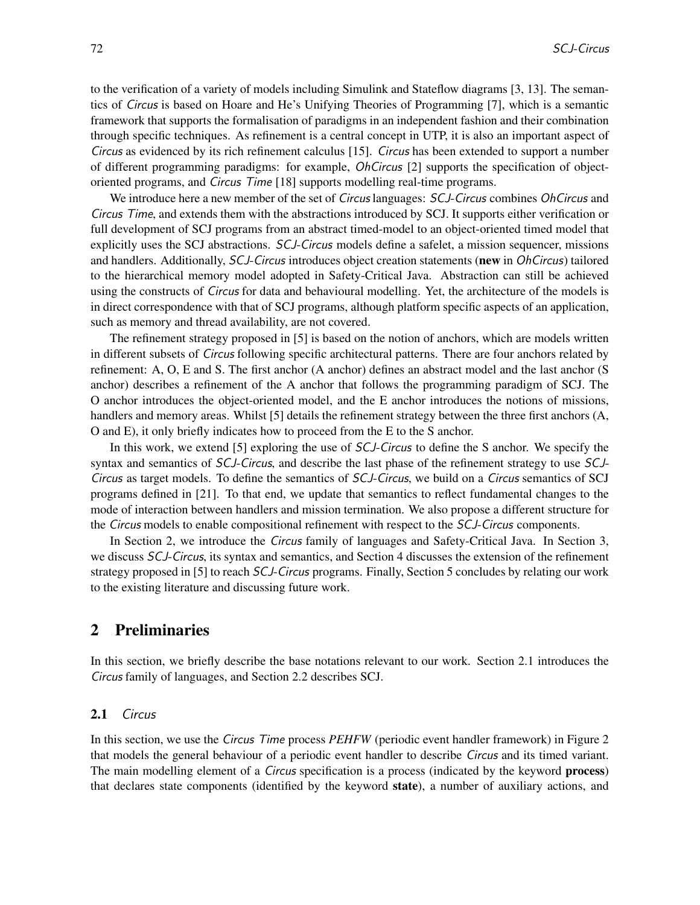to the verification of a variety of models including Simulink and Stateflow diagrams [3, 13]. The semantics of Circus is based on Hoare and He's Unifying Theories of Programming [7], which is a semantic framework that supports the formalisation of paradigms in an independent fashion and their combination through specific techniques. As refinement is a central concept in UTP, it is also an important aspect of Circus as evidenced by its rich refinement calculus [15]. Circus has been extended to support a number of different programming paradigms: for example, OhCircus [2] supports the specification of objectoriented programs, and Circus Time [18] supports modelling real-time programs.

We introduce here a new member of the set of *Circus* languages: *SCJ-Circus* combines *OhCircus* and Circus Time, and extends them with the abstractions introduced by SCJ. It supports either verification or full development of SCJ programs from an abstract timed-model to an object-oriented timed model that explicitly uses the SCJ abstractions. SCJ-Circus models define a safelet, a mission sequencer, missions and handlers. Additionally, SCJ-Circus introduces object creation statements (new in OhCircus) tailored to the hierarchical memory model adopted in Safety-Critical Java. Abstraction can still be achieved using the constructs of Circus for data and behavioural modelling. Yet, the architecture of the models is in direct correspondence with that of SCJ programs, although platform specific aspects of an application, such as memory and thread availability, are not covered.

The refinement strategy proposed in [5] is based on the notion of anchors, which are models written in different subsets of Circus following specific architectural patterns. There are four anchors related by refinement: A, O, E and S. The first anchor (A anchor) defines an abstract model and the last anchor (S anchor) describes a refinement of the A anchor that follows the programming paradigm of SCJ. The O anchor introduces the object-oriented model, and the E anchor introduces the notions of missions, handlers and memory areas. Whilst [5] details the refinement strategy between the three first anchors (A, O and E), it only briefly indicates how to proceed from the E to the S anchor.

In this work, we extend [5] exploring the use of *SCJ-Circus* to define the S anchor. We specify the syntax and semantics of *SCJ-Circus*, and describe the last phase of the refinement strategy to use *SCJ*-Circus as target models. To define the semantics of SCJ-Circus, we build on a Circus semantics of SCJ programs defined in [21]. To that end, we update that semantics to reflect fundamental changes to the mode of interaction between handlers and mission termination. We also propose a different structure for the Circus models to enable compositional refinement with respect to the SCJ-Circus components.

In Section 2, we introduce the Circus family of languages and Safety-Critical Java. In Section 3, we discuss SCJ-Circus, its syntax and semantics, and Section 4 discusses the extension of the refinement strategy proposed in [5] to reach SCJ-Circus programs. Finally, Section 5 concludes by relating our work to the existing literature and discussing future work.

# 2 Preliminaries

In this section, we briefly describe the base notations relevant to our work. Section 2.1 introduces the Circus family of languages, and Section 2.2 describes SCJ.

#### 2.1 Circus

In this section, we use the Circus Time process *PEHFW* (periodic event handler framework) in Figure 2 that models the general behaviour of a periodic event handler to describe Circus and its timed variant. The main modelling element of a *Circus* specification is a process (indicated by the keyword **process**) that declares state components (identified by the keyword state), a number of auxiliary actions, and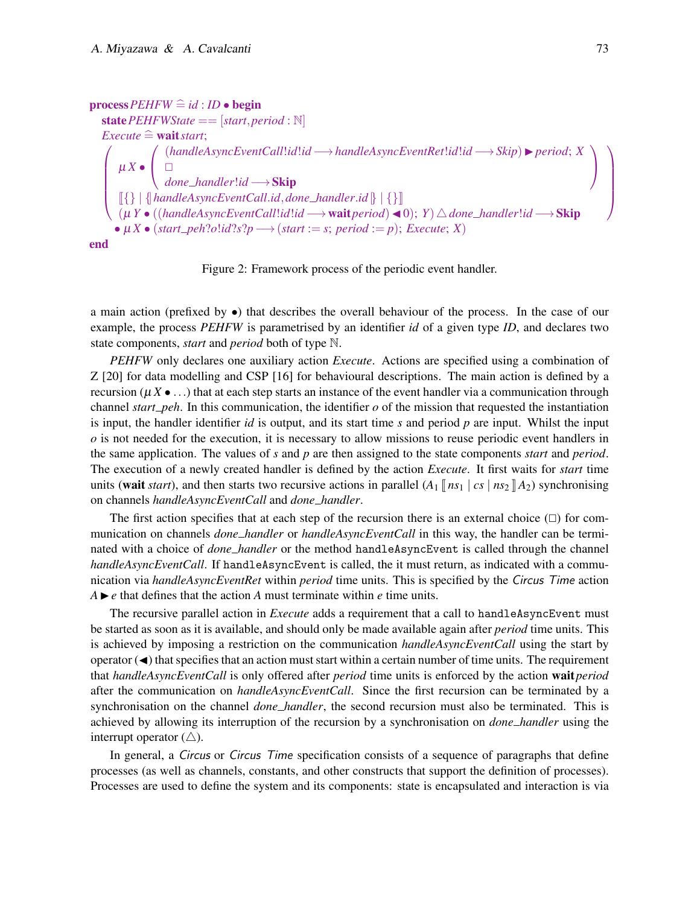```
processPEHFW \nightharpoonup id : ID \nightharpoonup beginstate PEHFWState == [start, period : N]<br>Execute \cong wait start;
   Execute \widehat{=} wait start;<br>
( ( handle

µ X •
                \sqrt{ }\mathbf{I}(handleAsyncEventCall!id!id −→handleAsyncEventRet!id!id −→Skip)◮period; X
                    \Boxdone handler!id −→Skip
                                                                                                                                       \overline{ }-1
        \llbracket \{\}\right\} \parallel \{\text{handleAsyncEventCall.id}, \text{done\_handler.id} \}\mid \{\}\rrbracket(µ Y • ((handleAsyncEventCall!id!id −→waitperiod)◭0); Y)△done handler!id −→Skip
       \bullet \mu X \bullet (start\_peh?o!id?s?p \rightarrow (start := s; period := p); Executive; X)end
```
Figure 2: Framework process of the periodic event handler.

a main action (prefixed by •) that describes the overall behaviour of the process. In the case of our example, the process *PEHFW* is parametrised by an identifier *id* of a given type *ID*, and declares two state components, *start* and *period* both of type N.

*PEHFW* only declares one auxiliary action *Execute*. Actions are specified using a combination of Z [20] for data modelling and CSP [16] for behavioural descriptions. The main action is defined by a recursion ( $\mu X \bullet \ldots$ ) that at each step starts an instance of the event handler via a communication through channel *start peh*. In this communication, the identifier  $o$  of the mission that requested the instantiation is input, the handler identifier *id* is output, and its start time *s* and period *p* are input. Whilst the input *o* is not needed for the execution, it is necessary to allow missions to reuse periodic event handlers in the same application. The values of *s* and *p* are then assigned to the state components *start* and *period*. The execution of a newly created handler is defined by the action *Execute*. It first waits for *start* time units (wait *start*), and then starts two recursive actions in parallel  $(A_1 \| n s_1 | cs | n s_2 \| A_2)$  synchronising on channels *handleAsyncEventCall* and *done handler*.

The first action specifies that at each step of the recursion there is an external choice  $(\Box)$  for communication on channels *done handler* or *handleAsyncEventCall* in this way, the handler can be terminated with a choice of *done handler* or the method handleAsyncEvent is called through the channel *handleAsyncEventCall*. If handleAsyncEvent is called, the it must return, as indicated with a communication via *handleAsyncEventRet* within *period* time units. This is specified by the Circus Time action  $A \triangleright e$  that defines that the action  $A$  must terminate within  $e$  time units.

The recursive parallel action in *Execute* adds a requirement that a call to handleAsyncEvent must be started as soon as it is available, and should only be made available again after *period* time units. This is achieved by imposing a restriction on the communication *handleAsyncEventCall* using the start by operator  $(\blacktriangleleft)$  that specifies that an action must start within a certain number of time units. The requirement that *handleAsyncEventCall* is only offered after *period* time units is enforced by the action wait*period* after the communication on *handleAsyncEventCall*. Since the first recursion can be terminated by a synchronisation on the channel *done handler*, the second recursion must also be terminated. This is achieved by allowing its interruption of the recursion by a synchronisation on *done handler* using the interrupt operator  $(\triangle)$ .

In general, a Circus or Circus Time specification consists of a sequence of paragraphs that define processes (as well as channels, constants, and other constructs that support the definition of processes). Processes are used to define the system and its components: state is encapsulated and interaction is via

 $\overline{1}$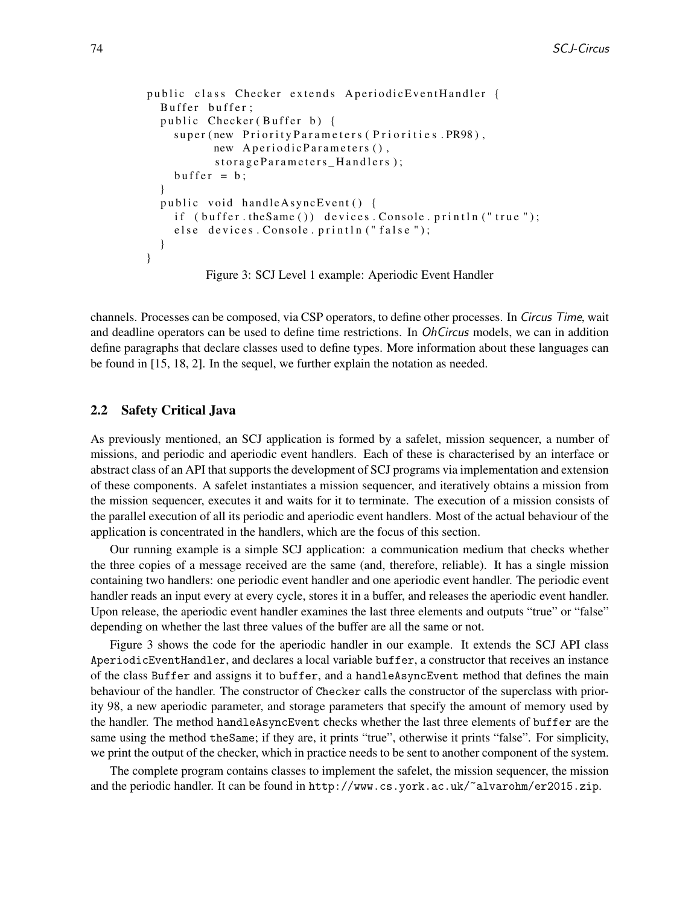```
public class Checker extends AperiodicEventHandler {
  Buffer buffer;
  public Checker (Buffer b) {
    super (new Priority Parameters (Priorities. PR98),
          new AperiodicParameters(),
          storageParameters_Handlers);
    buffer = b;
  }
  public void handleAsyncEvent () {
    if (buffer. the Same()) devices. Console. println ("true");
    else devices. Console. println ("false");
  }
}
```
Figure 3: SCJ Level 1 example: Aperiodic Event Handler

channels. Processes can be composed, via CSP operators, to define other processes. In Circus Time, wait and deadline operators can be used to define time restrictions. In OhCircus models, we can in addition define paragraphs that declare classes used to define types. More information about these languages can be found in [15, 18, 2]. In the sequel, we further explain the notation as needed.

#### 2.2 Safety Critical Java

As previously mentioned, an SCJ application is formed by a safelet, mission sequencer, a number of missions, and periodic and aperiodic event handlers. Each of these is characterised by an interface or abstract class of an API that supports the development of SCJ programs via implementation and extension of these components. A safelet instantiates a mission sequencer, and iteratively obtains a mission from the mission sequencer, executes it and waits for it to terminate. The execution of a mission consists of the parallel execution of all its periodic and aperiodic event handlers. Most of the actual behaviour of the application is concentrated in the handlers, which are the focus of this section.

Our running example is a simple SCJ application: a communication medium that checks whether the three copies of a message received are the same (and, therefore, reliable). It has a single mission containing two handlers: one periodic event handler and one aperiodic event handler. The periodic event handler reads an input every at every cycle, stores it in a buffer, and releases the aperiodic event handler. Upon release, the aperiodic event handler examines the last three elements and outputs "true" or "false" depending on whether the last three values of the buffer are all the same or not.

Figure 3 shows the code for the aperiodic handler in our example. It extends the SCJ API class AperiodicEventHandler, and declares a local variable buffer, a constructor that receives an instance of the class Buffer and assigns it to buffer, and a handleAsyncEvent method that defines the main behaviour of the handler. The constructor of Checker calls the constructor of the superclass with priority 98, a new aperiodic parameter, and storage parameters that specify the amount of memory used by the handler. The method handleAsyncEvent checks whether the last three elements of buffer are the same using the method the Same; if they are, it prints "true", otherwise it prints "false". For simplicity, we print the output of the checker, which in practice needs to be sent to another component of the system.

The complete program contains classes to implement the safelet, the mission sequencer, the mission and the periodic handler. It can be found in http://www.cs.york.ac.uk/~alvarohm/er2015.zip.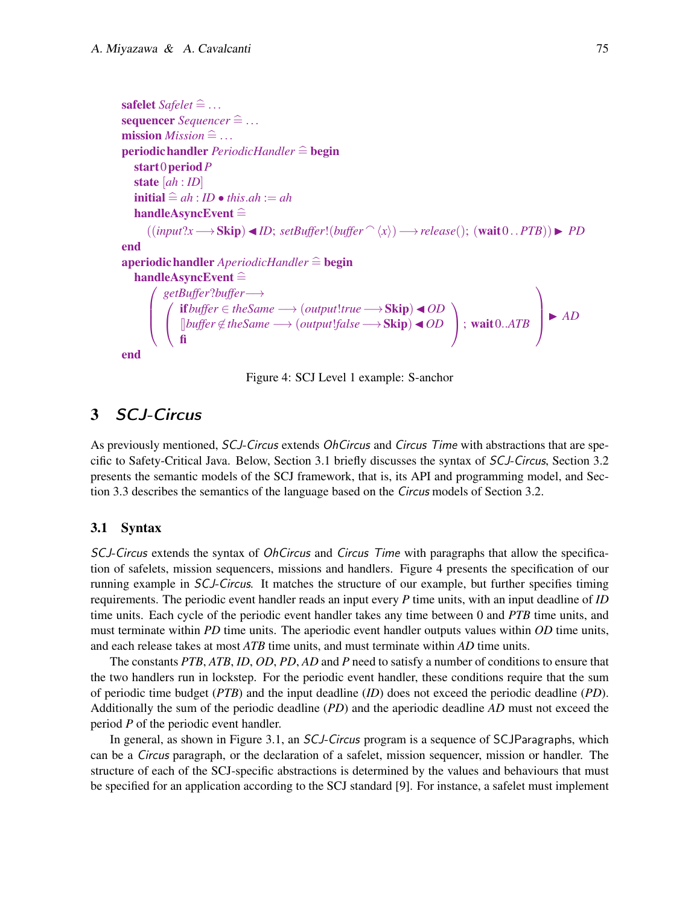```
safelet Safelet \cong ...sequencer Sequencer \widehat{=} ...
mission Mission \nightharpoonup ...periodic handler PeriodicHandler \widehat{=} begin
   start0periodP
   state [ah : ID]
   \text{initial} \triangleq ah : ID \bullet this \ldots ah := ahhandleAsyncEvent \hat{=}((input?\x \rightarrow \text{Skip}) \blacktriangleleft ID; setBuffer!(buffer \space ^\wedge \langle x \rangle) \rightarrow release(); (wait0..PTB)) \blacktriangleright PDend
aperiodichandler AperiodicHandler \hat{=} begin<br>handleAsyncEvent \hat{=}handleAsyncEvent \widehat{=} <br> / getBuffer?buffer
       \mid (
            getBuffer?buffer−→
            \mathbf{I}if buffer ∈ theSame \longrightarrow (output!true \longrightarrow Skip) \triangleleft OD
                 8buffer 6∈theSame −→ (output!false−→Skip)◭OD
                 fi
                                                                                                 \overline{ }; wait0..ATB
                                                                                                                          \overline{1}
◮ AD
end
```
Figure 4: SCJ Level 1 example: S-anchor

# 3 SCJ-Circus

As previously mentioned, SCJ-Circus extends OhCircus and Circus Time with abstractions that are specific to Safety-Critical Java. Below, Section 3.1 briefly discusses the syntax of SCJ-Circus, Section 3.2 presents the semantic models of the SCJ framework, that is, its API and programming model, and Section 3.3 describes the semantics of the language based on the *Circus* models of Section 3.2.

#### 3.1 Syntax

SCJ-Circus extends the syntax of *OhCircus* and *Circus Time* with paragraphs that allow the specification of safelets, mission sequencers, missions and handlers. Figure 4 presents the specification of our running example in SCJ-Circus. It matches the structure of our example, but further specifies timing requirements. The periodic event handler reads an input every *P* time units, with an input deadline of *ID* time units. Each cycle of the periodic event handler takes any time between 0 and *PTB* time units, and must terminate within *PD* time units. The aperiodic event handler outputs values within *OD* time units, and each release takes at most *ATB* time units, and must terminate within *AD* time units.

The constants *PTB*, *ATB*, *ID*, *OD*, *PD*, *AD* and *P* need to satisfy a number of conditions to ensure that the two handlers run in lockstep. For the periodic event handler, these conditions require that the sum of periodic time budget (*PTB*) and the input deadline (*ID*) does not exceed the periodic deadline (*PD*). Additionally the sum of the periodic deadline (*PD*) and the aperiodic deadline *AD* must not exceed the period *P* of the periodic event handler.

In general, as shown in Figure 3.1, an *SCJ-Circus* program is a sequence of SCJParagraphs, which can be a Circus paragraph, or the declaration of a safelet, mission sequencer, mission or handler. The structure of each of the SCJ-specific abstractions is determined by the values and behaviours that must be specified for an application according to the SCJ standard [9]. For instance, a safelet must implement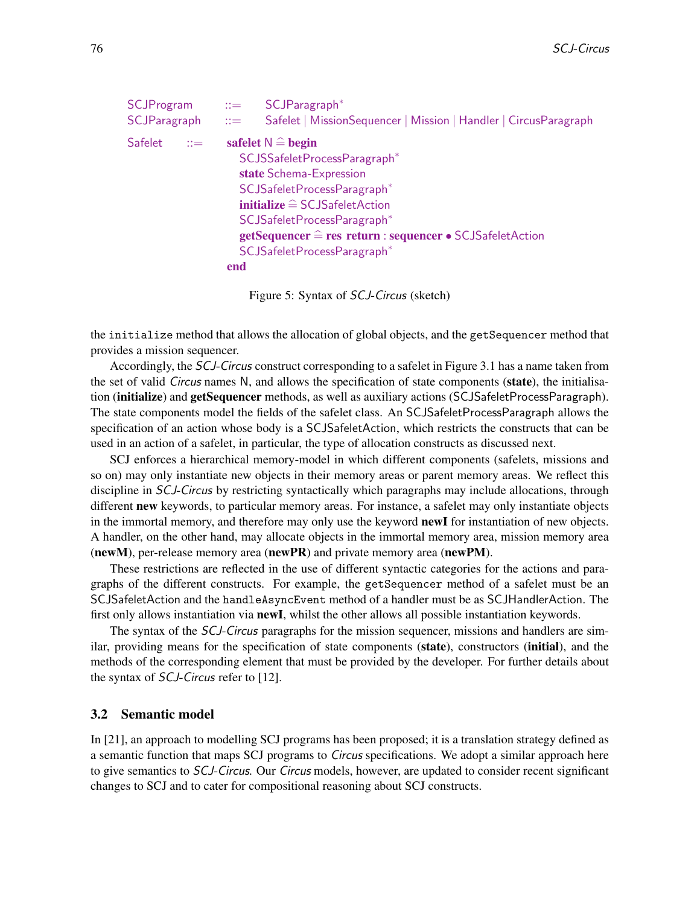```
SCJProgram ::= SCJParagraph<sup>*</sup>
SCJParagraph ::= Safelet | MissionSequencer | Mission | Handler | CircusParagraph
Safelet ::= safelet N \triangleq begin
                     SCJSSafeletProcessParagraph∗
                     state Schema-Expression
                     SCJSafeletProcessParagraph∗
                     initialize \hat{=} SCJSafeletActionSCJSafeletProcessParagraph∗
                     getSequencer \hat{=} res return : sequencer • SCJSafeletAction
                     SCJSafeletProcessParagraph∗
                   end
```
Figure 5: Syntax of SCJ-Circus (sketch)

the initialize method that allows the allocation of global objects, and the getSequencer method that provides a mission sequencer.

Accordingly, the SCJ-Circus construct corresponding to a safelet in Figure 3.1 has a name taken from the set of valid *Circus* names N, and allows the specification of state components (**state**), the initialisation (**initialize**) and **getSequencer** methods, as well as auxiliary actions (SCJSafeletProcessParagraph). The state components model the fields of the safelet class. An SCJSafeletProcessParagraph allows the specification of an action whose body is a SCJSafeletAction, which restricts the constructs that can be used in an action of a safelet, in particular, the type of allocation constructs as discussed next.

SCJ enforces a hierarchical memory-model in which different components (safelets, missions and so on) may only instantiate new objects in their memory areas or parent memory areas. We reflect this discipline in SCJ-Circus by restricting syntactically which paragraphs may include allocations, through different **new** keywords, to particular memory areas. For instance, a safelet may only instantiate objects in the immortal memory, and therefore may only use the keyword **newI** for instantiation of new objects. A handler, on the other hand, may allocate objects in the immortal memory area, mission memory area (newM), per-release memory area (newPR) and private memory area (newPM).

These restrictions are reflected in the use of different syntactic categories for the actions and paragraphs of the different constructs. For example, the getSequencer method of a safelet must be an SCJSafeletAction and the handleAsyncEvent method of a handler must be as SCJHandlerAction. The first only allows instantiation via **newI**, whilst the other allows all possible instantiation keywords.

The syntax of the SCJ-Circus paragraphs for the mission sequencer, missions and handlers are similar, providing means for the specification of state components (state), constructors (initial), and the methods of the corresponding element that must be provided by the developer. For further details about the syntax of SCJ-Circus refer to [12].

#### 3.2 Semantic model

In [21], an approach to modelling SCJ programs has been proposed; it is a translation strategy defined as a semantic function that maps SCJ programs to Circus specifications. We adopt a similar approach here to give semantics to SCJ-Circus. Our Circus models, however, are updated to consider recent significant changes to SCJ and to cater for compositional reasoning about SCJ constructs.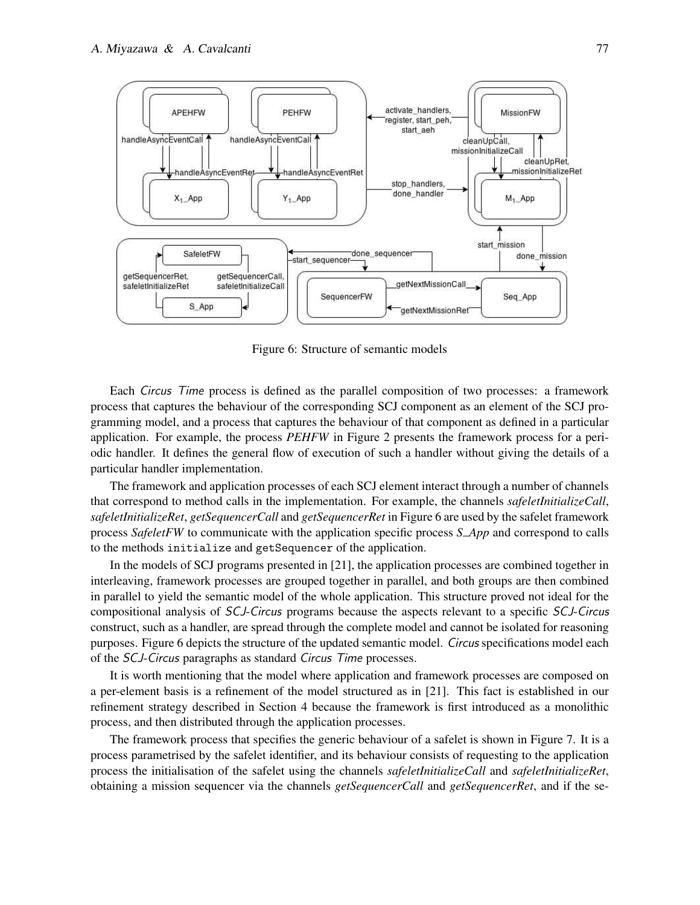

Figure 6: Structure of semantic models

Each Circus Time process is defined as the parallel composition of two processes: a framework process that captures the behaviour of the corresponding SCJ component as an element of the SCJ programming model, and a process that captures the behaviour of that component as defined in a particular application. For example, the process *PEHFW* in Figure 2 presents the framework process for a periodic handler. It defines the general flow of execution of such a handler without giving the details of a particular handler implementation.

The framework and application processes of each SCJ element interact through a number of channels that correspond to method calls in the implementation. For example, the channels *safeletInitializeCall*, *safeletInitializeRet*, *getSequencerCall* and *getSequencerRet* in Figure 6 are used by the safelet framework process *SafeletFW* to communicate with the application specific process *S App* and correspond to calls to the methods initialize and getSequencer of the application.

In the models of SCJ programs presented in [21], the application processes are combined together in interleaving, framework processes are grouped together in parallel, and both groups are then combined in parallel to yield the semantic model of the whole application. This structure proved not ideal for the compositional analysis of SCJ-Circus programs because the aspects relevant to a specific SCJ-Circus construct, such as a handler, are spread through the complete model and cannot be isolated for reasoning purposes. Figure 6 depicts the structure of the updated semantic model. Circus specifications model each of the SCJ-Circus paragraphs as standard Circus Time processes.

It is worth mentioning that the model where application and framework processes are composed on a per-element basis is a refinement of the model structured as in [21]. This fact is established in our refinement strategy described in Section 4 because the framework is first introduced as a monolithic process, and then distributed through the application processes.

The framework process that specifies the generic behaviour of a safelet is shown in Figure 7. It is a process parametrised by the safelet identifier, and its behaviour consists of requesting to the application process the initialisation of the safelet using the channels *safeletInitializeCall* and *safeletInitializeRet*, obtaining a mission sequencer via the channels *getSequencerCall* and *getSequencerRet*, and if the se-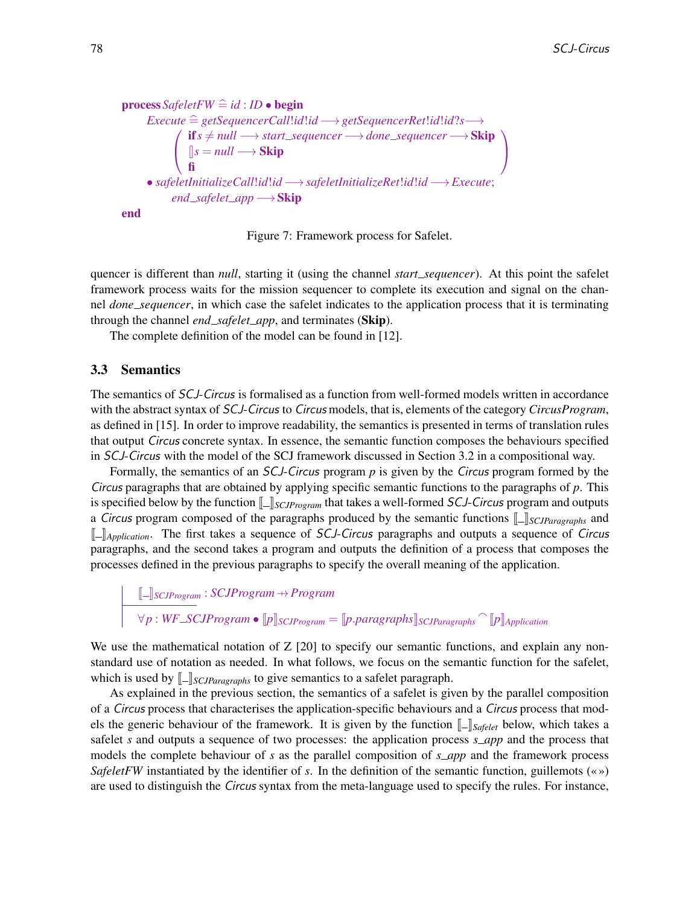```
process\,SafeletFW \cong id : ID \bullet beginExecute
=b getSequencerCall!id!id −→getSequencerRet!id!id?s−→
           \sqrt{ }\mathbf{I}ifs 6= null −→ start sequencer −→done sequencer −→Skip
               \parallel s = null \rightarrowSkip
               fi
                                                                                     \overline{ }-1
     • safeletInitializeCall!id!id −→safeletInitializeRet!id!id −→Execute;
          end _safelet_app → Skip
end
```
Figure 7: Framework process for Safelet.

quencer is different than *null*, starting it (using the channel *start sequencer*). At this point the safelet framework process waits for the mission sequencer to complete its execution and signal on the channel *done sequencer*, in which case the safelet indicates to the application process that it is terminating through the channel *end safelet app*, and terminates (Skip).

The complete definition of the model can be found in [12].

#### 3.3 Semantics

The semantics of SCJ-Circus is formalised as a function from well-formed models written in accordance with the abstract syntax of SCJ-Circus to Circus models, that is, elements of the category *CircusProgram*, as defined in [15]. In order to improve readability, the semantics is presented in terms of translation rules that output Circus concrete syntax. In essence, the semantic function composes the behaviours specified in SCJ-Circus with the model of the SCJ framework discussed in Section 3.2 in a compositional way.

Formally, the semantics of an SCJ-Circus program *p* is given by the Circus program formed by the Circus paragraphs that are obtained by applying specific semantic functions to the paragraphs of *p*. This is specified below by the function  $\llbracket \cdot \rrbracket_{SCIProgram}$  that takes a well-formed *SCJ-Circus* program and outputs a Circus program composed of the paragraphs produced by the semantic functions  $\llbracket - \rrbracket_{SCJParagraphs}$  and J K*Application*. The first takes a sequence of SCJ-Circus paragraphs and outputs a sequence of Circus paragraphs, and the second takes a program and outputs the definition of a process that composes the processes defined in the previous paragraphs to specify the overall meaning of the application.

J K*SCJProgram* : *SCJProgram* 7→*Program*  $\forall p : WF\_SCJProgram \bullet \llbracket p \rrbracket_{SCJProgram} = \llbracket p.parentgraphs \rrbracket_{SCJParagraphs} \cap \llbracket p \rrbracket_{Application}$ 

We use the mathematical notation of Z [20] to specify our semantic functions, and explain any nonstandard use of notation as needed. In what follows, we focus on the semantic function for the safelet, which is used by  $\llbracket - \rrbracket_{\text{SCJParagraphs}}$  to give semantics to a safelet paragraph.

As explained in the previous section, the semantics of a safelet is given by the parallel composition of a Circus process that characterises the application-specific behaviours and a Circus process that models the generic behaviour of the framework. It is given by the function  $\llbracket \cdot \rrbracket_{\text{Safelet}}$  below, which takes a safelet *s* and outputs a sequence of two processes: the application process *s app* and the process that models the complete behaviour of *s* as the parallel composition of *s app* and the framework process *SafeletFW* instantiated by the identifier of *s*. In the definition of the semantic function, guillemots (« ») are used to distinguish the Circus syntax from the meta-language used to specify the rules. For instance,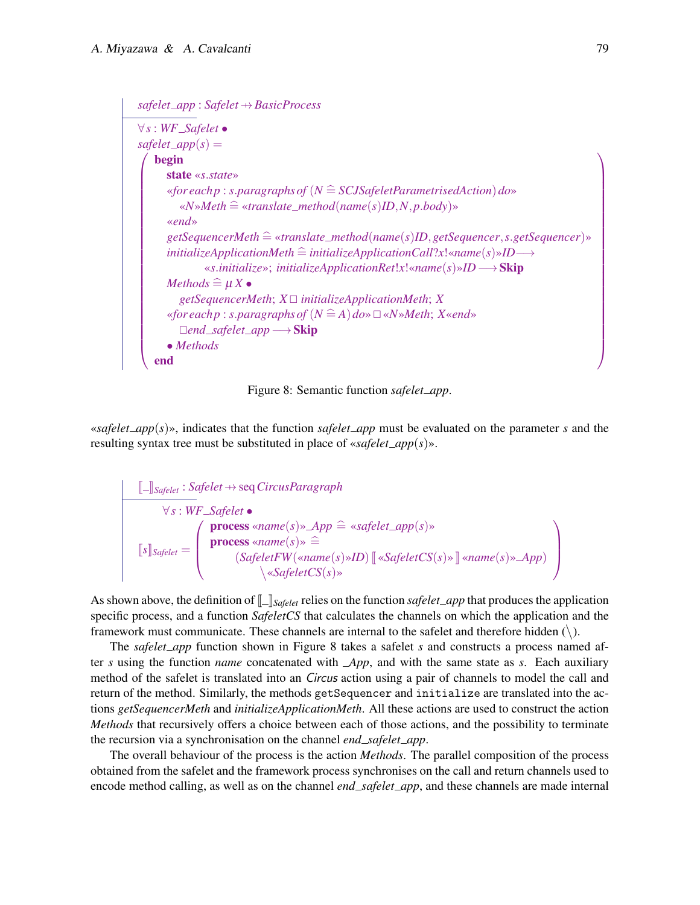```
safelet app : Safelet 7→BasicProcess
∀s : WF Safelet •
safelet\_app(s) =\overline{ }
   begin
      state «s.state»
      «for each p : s.paragraphs of (N =b SCJSafeletParametrisedAction)do»
         \ll N»Meth \cong «translate_method(name(s)ID,N,p.body)»
      «end»
      getSequencerMeth =b «translate method(name(s)ID,getSequencer,s.getSequencer)»
      initializeApplicationMethod \cong initializeApplicationCall?x!«name(s) \times ID \longrightarrow«s.initialize»; initializeApplicationRet!x!«name(s)»ID−→Skip
      Methods \widehat{=}\mu X \bulletgetSequencerMeth; X @ initializeApplicationMeth; X
      «for each p : s.paragraphs of (N \nightharpoonup A) do» \square «N»Meth; X«end»
        @end safelet app−→Skip
      • Methods
   end
                                                                                                   \overline{1}
```


«*safelet\_app* $(s)$ », indicates that the function *safelet\_app* must be evaluated on the parameter *s* and the resulting syntax tree must be substituted in place of «*safelet app*(*s*)».

$$
\begin{array}{c}\n\hline \[\n\left[\begin{array}{l}\n\end{array}\right] \circ \text{Safelet} : \text{Safelet} \leftrightarrow \text{seq CircusParagraph} \\
\forall s : \text{WF\_Safelet} \bullet \\
\text{process} \leq \text{name}(s) \Rightarrow \text{Anglelet\_app}(s) \times \\
\text{process} \leq \text{name}(s) \Rightarrow \exists \\
\text{Safelet} \in \text{S} \land \text{safelet} \in \text{NS}(s) \times \text{name}(s) \times \text{name}(s) \times \text{AMP}\n\end{array}\bigg\}\n\end{array}
$$

As shown above, the definition of  $\llbracket \cdot \rrbracket_{\text{Safelet}}$  relies on the function *safelet\_app* that produces the application specific process, and a function *SafeletCS* that calculates the channels on which the application and the framework must communicate. These channels are internal to the safelet and therefore hidden  $(\cdot)$ .

The *safelet\_app* function shown in Figure 8 takes a safelet *s* and constructs a process named after *s* using the function *name* concatenated with *App*, and with the same state as *s*. Each auxiliary method of the safelet is translated into an *Circus* action using a pair of channels to model the call and return of the method. Similarly, the methods getSequencer and initialize are translated into the actions *getSequencerMeth* and *initializeApplicationMeth*. All these actions are used to construct the action *Methods* that recursively offers a choice between each of those actions, and the possibility to terminate the recursion via a synchronisation on the channel *end safelet app*.

The overall behaviour of the process is the action *Methods*. The parallel composition of the process obtained from the safelet and the framework process synchronises on the call and return channels used to encode method calling, as well as on the channel *end safelet app*, and these channels are made internal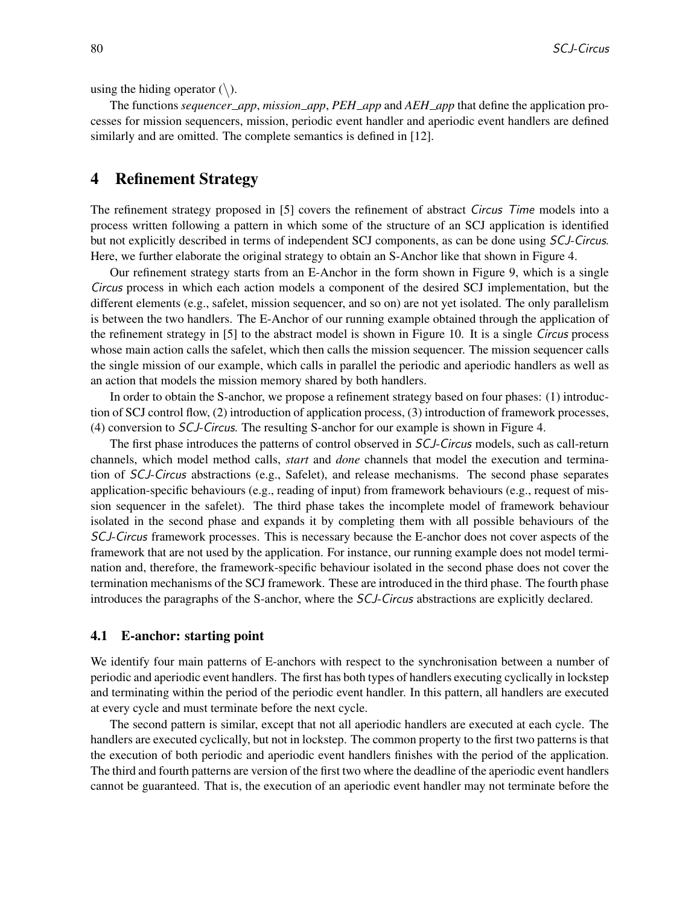using the hiding operator  $(\rangle)$ .

The functions *sequencer app*, *mission app*, *PEH app* and *AEH app* that define the application processes for mission sequencers, mission, periodic event handler and aperiodic event handlers are defined similarly and are omitted. The complete semantics is defined in [12].

# 4 Refinement Strategy

The refinement strategy proposed in [5] covers the refinement of abstract Circus Time models into a process written following a pattern in which some of the structure of an SCJ application is identified but not explicitly described in terms of independent SCJ components, as can be done using SCJ-Circus. Here, we further elaborate the original strategy to obtain an S-Anchor like that shown in Figure 4.

Our refinement strategy starts from an E-Anchor in the form shown in Figure 9, which is a single Circus process in which each action models a component of the desired SCJ implementation, but the different elements (e.g., safelet, mission sequencer, and so on) are not yet isolated. The only parallelism is between the two handlers. The E-Anchor of our running example obtained through the application of the refinement strategy in [5] to the abstract model is shown in Figure 10. It is a single Circus process whose main action calls the safelet, which then calls the mission sequencer. The mission sequencer calls the single mission of our example, which calls in parallel the periodic and aperiodic handlers as well as an action that models the mission memory shared by both handlers.

In order to obtain the S-anchor, we propose a refinement strategy based on four phases: (1) introduction of SCJ control flow, (2) introduction of application process, (3) introduction of framework processes, (4) conversion to SCJ-Circus. The resulting S-anchor for our example is shown in Figure 4.

The first phase introduces the patterns of control observed in SCJ-Circus models, such as call-return channels, which model method calls, *start* and *done* channels that model the execution and termination of SCJ-Circus abstractions (e.g., Safelet), and release mechanisms. The second phase separates application-specific behaviours (e.g., reading of input) from framework behaviours (e.g., request of mission sequencer in the safelet). The third phase takes the incomplete model of framework behaviour isolated in the second phase and expands it by completing them with all possible behaviours of the SCJ-Circus framework processes. This is necessary because the E-anchor does not cover aspects of the framework that are not used by the application. For instance, our running example does not model termination and, therefore, the framework-specific behaviour isolated in the second phase does not cover the termination mechanisms of the SCJ framework. These are introduced in the third phase. The fourth phase introduces the paragraphs of the S-anchor, where the SCJ-Circus abstractions are explicitly declared.

#### 4.1 E-anchor: starting point

We identify four main patterns of E-anchors with respect to the synchronisation between a number of periodic and aperiodic event handlers. The first has both types of handlers executing cyclically in lockstep and terminating within the period of the periodic event handler. In this pattern, all handlers are executed at every cycle and must terminate before the next cycle.

The second pattern is similar, except that not all aperiodic handlers are executed at each cycle. The handlers are executed cyclically, but not in lockstep. The common property to the first two patterns is that the execution of both periodic and aperiodic event handlers finishes with the period of the application. The third and fourth patterns are version of the first two where the deadline of the aperiodic event handlers cannot be guaranteed. That is, the execution of an aperiodic event handler may not terminate before the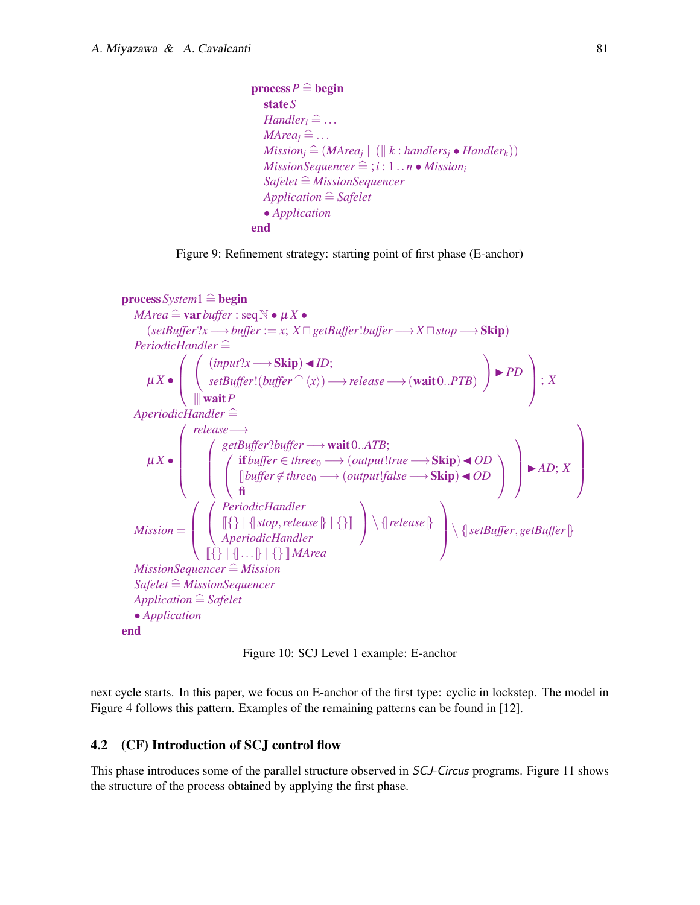```
\mathbf{process}\mathbf{P} \widehat{=} \mathbf{begin}stateS
   Handler<sup>\hat{=}</sup>...
   MArea_i \triangleq \ldotsMission_i \cong (MArea_i || (|| k : handlers_i \bullet Handler_k))MissionSequence \hat{=} ; i : 1 ... n \bullet Mission_iSafelet \hat{=} MissionSequencer
   Application \hat{=} Safelet
   • Application
end
```




Figure 10: SCJ Level 1 example: E-anchor

next cycle starts. In this paper, we focus on E-anchor of the first type: cyclic in lockstep. The model in Figure 4 follows this pattern. Examples of the remaining patterns can be found in [12].

#### 4.2 (CF) Introduction of SCJ control flow

This phase introduces some of the parallel structure observed in SCJ-Circus programs. Figure 11 shows the structure of the process obtained by applying the first phase.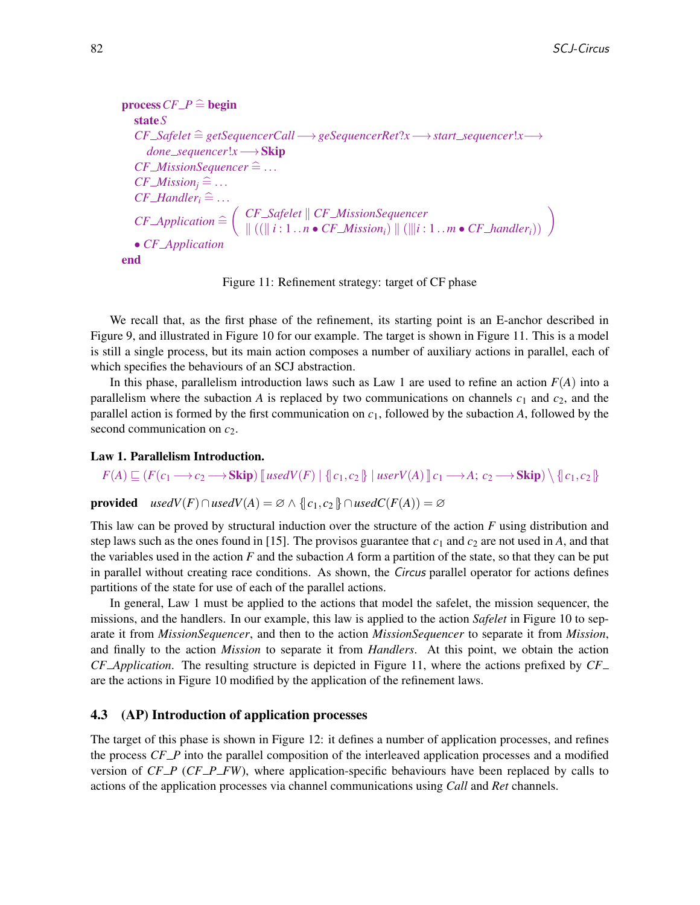```
process CF\_P \cong begin
   stateS
   CF Safelet =b getSequencerCall−→geSequencerRet?x−→start sequencer!x−→
       done sequencer!x−→Skip
   CF\_MissionSequence \hat{=} \dotsCF\_Mission_i \cong ...CF\_Handler<sup>\hat{=}</sup>...
    CF\_Application \cong\left( \begin{array}{c} CF\_Safelet \parallel CF\_MissionSequence \\ \parallel ((\parallel i: 1 \ldots n \bullet CF\_Mission_i) \parallel (\parallel i: 1 \ldots m \bullet CF\_handler_i)) \end{array} \right)• CF Application
end
```
Figure 11: Refinement strategy: target of CF phase

We recall that, as the first phase of the refinement, its starting point is an E-anchor described in Figure 9, and illustrated in Figure 10 for our example. The target is shown in Figure 11. This is a model is still a single process, but its main action composes a number of auxiliary actions in parallel, each of which specifies the behaviours of an SCJ abstraction.

In this phase, parallelism introduction laws such as Law 1 are used to refine an action  $F(A)$  into a parallelism where the subaction *A* is replaced by two communications on channels  $c_1$  and  $c_2$ , and the parallel action is formed by the first communication on  $c_1$ , followed by the subaction  $A$ , followed by the second communication on  $c_2$ .

#### Law 1. Parallelism Introduction.

 $F(A) \sqsubseteq (F(c_1 \longrightarrow c_2 \longrightarrow \mathbf{Skip}) \mathbb{I}$  *usedV*(*F*) | {|  $c_1$ ,  $c_2$  |} | *userV*(*A*)  $\mathbb{I}$   $c_1 \longrightarrow A$ ;  $c_2 \longrightarrow \mathbf{Skip}) \setminus \{ \vert c_1, c_2 \vert \}$ 

**provided**  $usedV(F) \cap usedV(A) = \emptyset \land \{c_1, c_2\} \cap usedC(F(A)) = \emptyset$ 

This law can be proved by structural induction over the structure of the action *F* using distribution and step laws such as the ones found in [15]. The provisos guarantee that  $c_1$  and  $c_2$  are not used in A, and that the variables used in the action *F* and the subaction *A* form a partition of the state, so that they can be put in parallel without creating race conditions. As shown, the Circus parallel operator for actions defines partitions of the state for use of each of the parallel actions.

In general, Law 1 must be applied to the actions that model the safelet, the mission sequencer, the missions, and the handlers. In our example, this law is applied to the action *Safelet* in Figure 10 to separate it from *MissionSequencer*, and then to the action *MissionSequencer* to separate it from *Mission*, and finally to the action *Mission* to separate it from *Handlers*. At this point, we obtain the action *CF Application*. The resulting structure is depicted in Figure 11, where the actions prefixed by *CF* are the actions in Figure 10 modified by the application of the refinement laws.

#### 4.3 (AP) Introduction of application processes

The target of this phase is shown in Figure 12: it defines a number of application processes, and refines the process *CF P* into the parallel composition of the interleaved application processes and a modified version of *CF P* (*CF P FW*), where application-specific behaviours have been replaced by calls to actions of the application processes via channel communications using *Call* and *Ret* channels.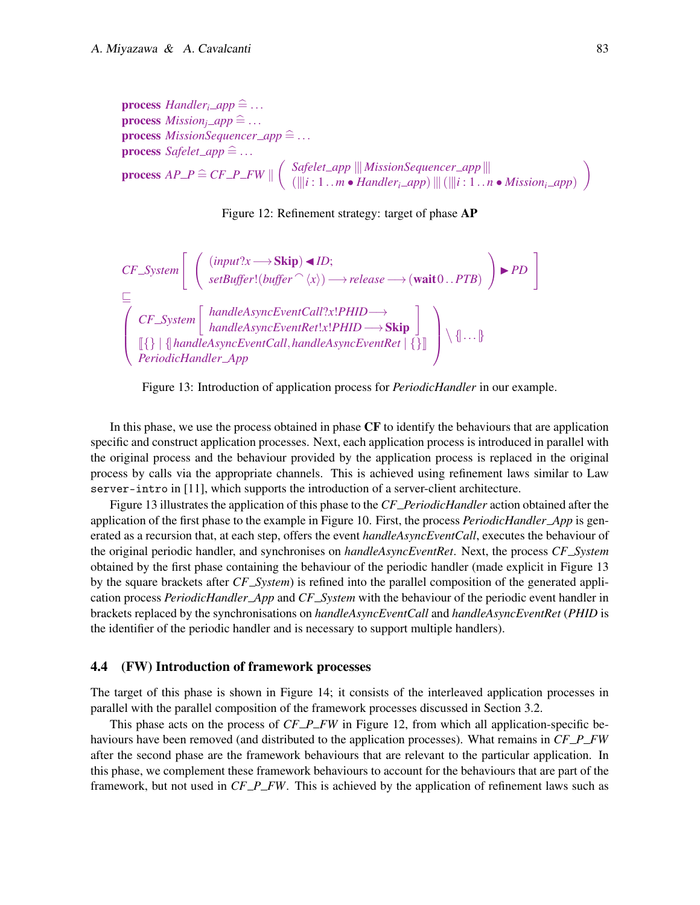**process** *Handler*<sub>*i*</sub>  $\Delta$ *pp*  $\cong$  ... **process**  $Mission_i\_app \cong ...$ **process**  $MissionSequence\_app \nightharpoonup$  ... **process** *Safelet\_app*  $\cong$  ...  $\mathbf{process} \; AP\_P \cong CF\_P\_FW \parallel$  $\int$  *Safelet\_app*  $\|$  *MissionSequencer\_app*  $\|$  $(\Vert i:1..m \bullet \text{Handler}_i \_app) \Vert \Vert (\Vert i:1..n \bullet \text{ Mission}_i \_app)$  $\overline{\phantom{0}}$ 



*CF System*" (*input*?*x*−→Skip)◭*ID*; *setBuffer*!(*buffer* <sup>a</sup>h*x*i)−→*release*−→(wait<sup>0</sup> ..*PTB*) ! ◮*PD* # ⊑ *CF System handleAsyncEventCall*?*x*!*PHID*−→ *handleAsyncEventRet*!*x*!*PHID*−→Skip J{} | {|*handleAsyncEventCall*,*handleAsyncEventRet* | {}K *PeriodicHandler App* {|...|}

Figure 13: Introduction of application process for *PeriodicHandler* in our example.

In this phase, we use the process obtained in phase CF to identify the behaviours that are application specific and construct application processes. Next, each application process is introduced in parallel with the original process and the behaviour provided by the application process is replaced in the original process by calls via the appropriate channels. This is achieved using refinement laws similar to Law server-intro in [11], which supports the introduction of a server-client architecture.

Figure 13 illustrates the application of this phase to the *CF PeriodicHandler* action obtained after the application of the first phase to the example in Figure 10. First, the process *PeriodicHandler App* is generated as a recursion that, at each step, offers the event *handleAsyncEventCall*, executes the behaviour of the original periodic handler, and synchronises on *handleAsyncEventRet*. Next, the process *CF System* obtained by the first phase containing the behaviour of the periodic handler (made explicit in Figure 13 by the square brackets after *CF System*) is refined into the parallel composition of the generated application process *PeriodicHandler App* and *CF System* with the behaviour of the periodic event handler in brackets replaced by the synchronisations on *handleAsyncEventCall* and *handleAsyncEventRet* (*PHID* is the identifier of the periodic handler and is necessary to support multiple handlers).

#### 4.4 (FW) Introduction of framework processes

The target of this phase is shown in Figure 14; it consists of the interleaved application processes in parallel with the parallel composition of the framework processes discussed in Section 3.2.

This phase acts on the process of *CF\_P\_FW* in Figure 12, from which all application-specific behaviours have been removed (and distributed to the application processes). What remains in *CF P FW* after the second phase are the framework behaviours that are relevant to the particular application. In this phase, we complement these framework behaviours to account for the behaviours that are part of the framework, but not used in *CF P FW*. This is achieved by the application of refinement laws such as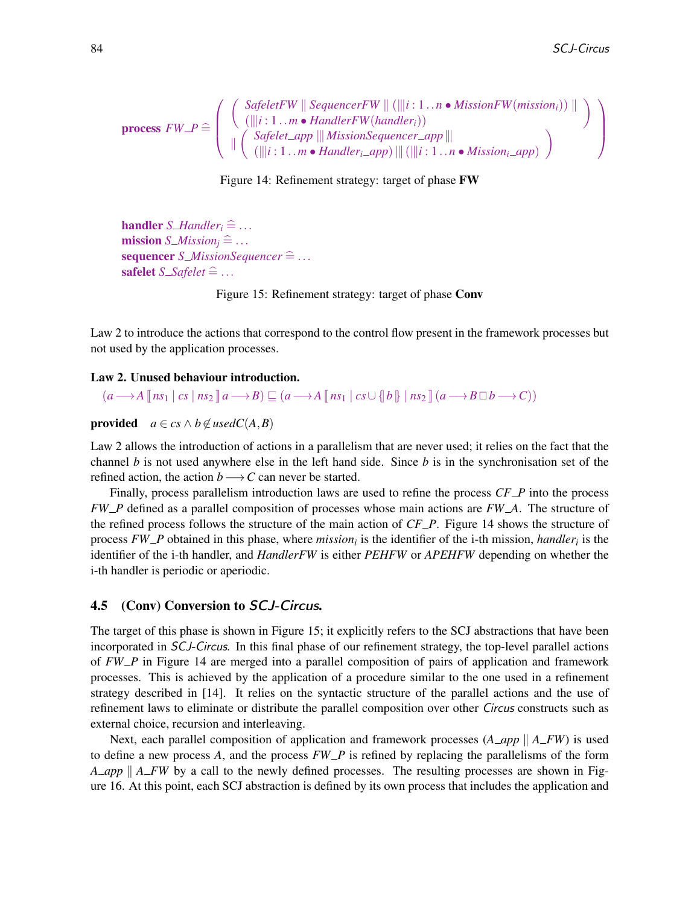$$
\text{process } FW\_P \cong \left( \begin{array}{c} \left( \begin{array}{c} \textit{SafeletFW} \parallel \textit{SequenceFW} \parallel (\|\|i:1\ldots n \bullet \textit{MissionFW}(\textit{missionFW}(\textit{mission})) \parallel \\ (\|\|i:1\ldots m \bullet \textit{HandlerFW}(\textit{handler}_i)) \\ \|\ \left( \begin{array}{c} \textit{Safelet\_app} \parallel \textit{MissionSequence\_app} \parallel \\ (\|\|i:1\ldots m \bullet \textit{Handler}_i \perp app) \parallel (\|\|i:1\ldots n \bullet \textit{Mission}_i \perp app) \end{array} \right) \end{array} \right)
$$

Figure 14: Refinement strategy: target of phase FW

**handler** *S\_Handler*<sub>*i*</sub>  $\cong$  ... **mission**  $S$ *<i>Mission*<sub>i</sub>  $\cong$  ...  $sequence S\_MissionSequence \hat{=} \dots$ safelet  $S\_Safelet \cong ...$ 

Figure 15: Refinement strategy: target of phase Conv

Law 2 to introduce the actions that correspond to the control flow present in the framework processes but not used by the application processes.

Law 2. Unused behaviour introduction.

 $(a \rightarrow A \parallel ns_1 \mid cs \mid ns_2 \parallel a \rightarrow B) \sqsubseteq (a \rightarrow A \parallel ns_1 \mid cs \cup \{b\} \mid ns_2 \parallel (a \rightarrow B \Box b \rightarrow C))$ 

**provided**  $a \in cs \land b \notin usedC(A, B)$ 

Law 2 allows the introduction of actions in a parallelism that are never used; it relies on the fact that the channel *b* is not used anywhere else in the left hand side. Since *b* is in the synchronisation set of the refined action, the action *b* → *C* can never be started.

Finally, process parallelism introduction laws are used to refine the process *CF P* into the process *FW P* defined as a parallel composition of processes whose main actions are *FW A*. The structure of the refined process follows the structure of the main action of *CF P*. Figure 14 shows the structure of process *FW P* obtained in this phase, where *mission<sup>i</sup>* is the identifier of the i-th mission, *handler<sup>i</sup>* is the identifier of the i-th handler, and *HandlerFW* is either *PEHFW* or *APEHFW* depending on whether the i-th handler is periodic or aperiodic.

#### 4.5 (Conv) Conversion to SCJ-Circus.

The target of this phase is shown in Figure 15; it explicitly refers to the SCJ abstractions that have been incorporated in SCJ-Circus. In this final phase of our refinement strategy, the top-level parallel actions of *FW P* in Figure 14 are merged into a parallel composition of pairs of application and framework processes. This is achieved by the application of a procedure similar to the one used in a refinement strategy described in [14]. It relies on the syntactic structure of the parallel actions and the use of refinement laws to eliminate or distribute the parallel composition over other Circus constructs such as external choice, recursion and interleaving.

Next, each parallel composition of application and framework processes  $(A \text{ or } A \text{ or } F)$  is used to define a new process *A*, and the process *FW P* is refined by replacing the parallelisms of the form *A\_app* || *A\_FW* by a call to the newly defined processes. The resulting processes are shown in Figure 16. At this point, each SCJ abstraction is defined by its own process that includes the application and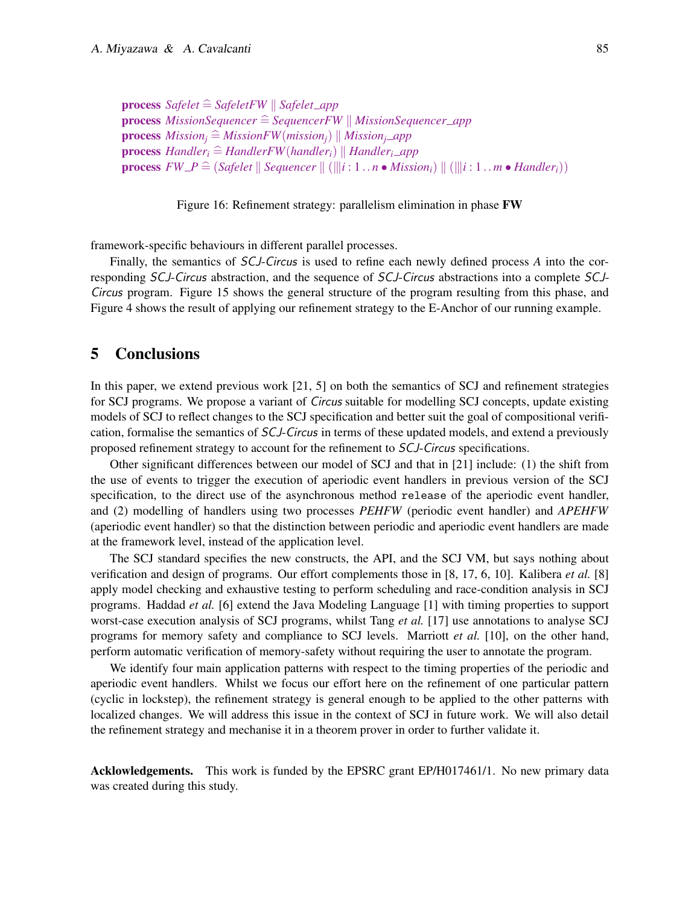```
process Safelet \widehat{=} SafeletFW \parallel Safelet_app
process MissionSequencer \hat{=} SequencerFW || MissionSequencer_app
process Mission_i \nightharpoonup MissionFW(mission_i) \nightharpoonup Mission_i \nightharpoonup appprocess Handler \hat{i} \cong HandlerFW(handler \hat{j}) \parallel Handler \hat{i} \cong appprocess FW\_P \cong (Safelet \parallel Sequencer \parallel (\parallel i: 1 \ldots n \bullet Mission_i) \parallel (\parallel i: 1 \ldots m \bullet Handler_i))
```
Figure 16: Refinement strategy: parallelism elimination in phase FW

framework-specific behaviours in different parallel processes.

Finally, the semantics of SCJ-Circus is used to refine each newly defined process *A* into the corresponding SCJ-Circus abstraction, and the sequence of SCJ-Circus abstractions into a complete SCJ-Circus program. Figure 15 shows the general structure of the program resulting from this phase, and Figure 4 shows the result of applying our refinement strategy to the E-Anchor of our running example.

## 5 Conclusions

In this paper, we extend previous work [21, 5] on both the semantics of SCJ and refinement strategies for SCJ programs. We propose a variant of *Circus* suitable for modelling SCJ concepts, update existing models of SCJ to reflect changes to the SCJ specification and better suit the goal of compositional verification, formalise the semantics of SCJ-Circus in terms of these updated models, and extend a previously proposed refinement strategy to account for the refinement to SCJ-Circus specifications.

Other significant differences between our model of SCJ and that in [21] include: (1) the shift from the use of events to trigger the execution of aperiodic event handlers in previous version of the SCJ specification, to the direct use of the asynchronous method release of the aperiodic event handler, and (2) modelling of handlers using two processes *PEHFW* (periodic event handler) and *APEHFW* (aperiodic event handler) so that the distinction between periodic and aperiodic event handlers are made at the framework level, instead of the application level.

The SCJ standard specifies the new constructs, the API, and the SCJ VM, but says nothing about verification and design of programs. Our effort complements those in [8, 17, 6, 10]. Kalibera *et al.* [8] apply model checking and exhaustive testing to perform scheduling and race-condition analysis in SCJ programs. Haddad *et al.* [6] extend the Java Modeling Language [1] with timing properties to support worst-case execution analysis of SCJ programs, whilst Tang *et al.* [17] use annotations to analyse SCJ programs for memory safety and compliance to SCJ levels. Marriott *et al.* [10], on the other hand, perform automatic verification of memory-safety without requiring the user to annotate the program.

We identify four main application patterns with respect to the timing properties of the periodic and aperiodic event handlers. Whilst we focus our effort here on the refinement of one particular pattern (cyclic in lockstep), the refinement strategy is general enough to be applied to the other patterns with localized changes. We will address this issue in the context of SCJ in future work. We will also detail the refinement strategy and mechanise it in a theorem prover in order to further validate it.

Acklowledgements. This work is funded by the EPSRC grant EP/H017461/1. No new primary data was created during this study.